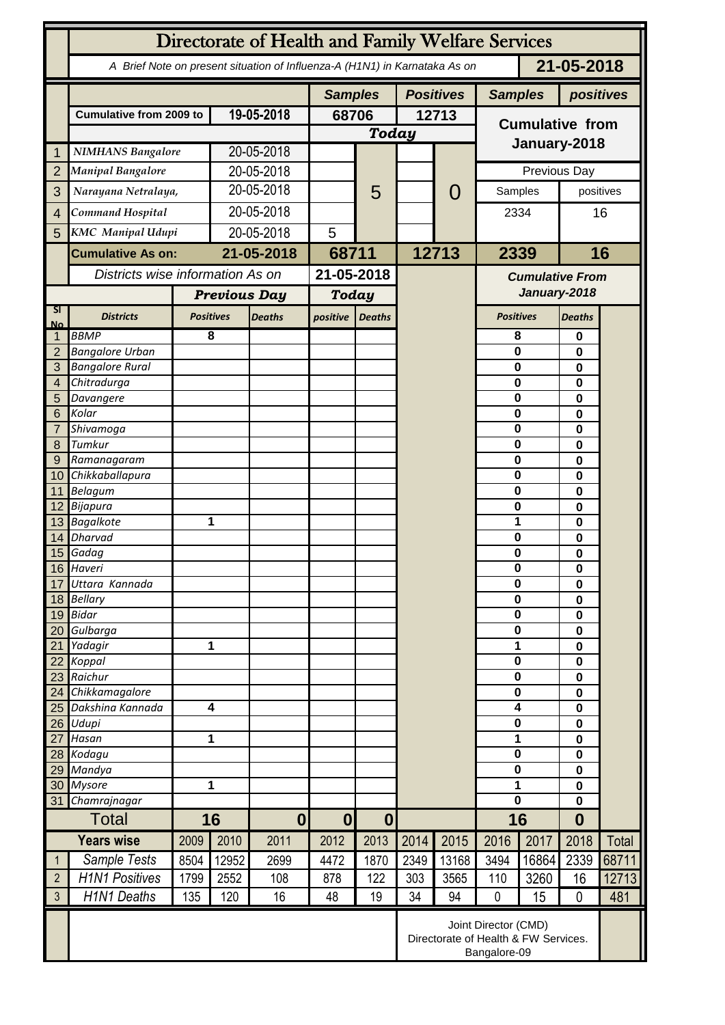|                     | Directorate of Health and Family Welfare Services                                        |                     |                         |                          |                          |               |       |                                                                              |                            |              |                          |               |  |
|---------------------|------------------------------------------------------------------------------------------|---------------------|-------------------------|--------------------------|--------------------------|---------------|-------|------------------------------------------------------------------------------|----------------------------|--------------|--------------------------|---------------|--|
|                     | 21-05-2018<br>A Brief Note on present situation of Influenza-A (H1N1) in Karnataka As on |                     |                         |                          |                          |               |       |                                                                              |                            |              |                          |               |  |
|                     |                                                                                          |                     |                         |                          | <b>Samples</b>           |               |       | <b>Positives</b><br><b>Samples</b>                                           |                            |              | positives                |               |  |
|                     | <b>Cumulative from 2009 to</b>                                                           |                     | 19-05-2018              |                          | 68706<br><b>Today</b>    |               | 12713 |                                                                              | <b>Cumulative from</b>     |              |                          |               |  |
|                     |                                                                                          |                     |                         |                          |                          |               |       |                                                                              |                            |              |                          |               |  |
| 1                   | <b>NIMHANS Bangalore</b>                                                                 |                     | 20-05-2018              |                          |                          |               |       |                                                                              | January-2018               |              |                          |               |  |
| $\overline{2}$      | <b>Manipal Bangalore</b>                                                                 |                     |                         | 20-05-2018               |                          |               |       |                                                                              |                            | Previous Day |                          |               |  |
| 3                   | Narayana Netralaya,                                                                      |                     | 20-05-2018              |                          |                          | 5             |       | $\mathcal{O}$                                                                | Samples                    |              | positives                |               |  |
|                     | Command Hospital                                                                         |                     | 20-05-2018              |                          |                          |               |       |                                                                              |                            |              | 16                       |               |  |
| $\overline{4}$      |                                                                                          |                     |                         |                          |                          |               |       |                                                                              | 2334                       |              |                          |               |  |
| 5                   | KMC Manipal Udupi                                                                        |                     | 20-05-2018              |                          | 5                        |               |       |                                                                              |                            |              |                          |               |  |
|                     | <b>Cumulative As on:</b>                                                                 |                     | 21-05-2018              |                          | 68711                    |               |       | 12713                                                                        |                            | 2339<br>16   |                          |               |  |
|                     | Districts wise information As on                                                         |                     |                         | 21-05-2018               |                          |               |       | <b>Cumulative From</b><br>January-2018                                       |                            |              |                          |               |  |
|                     |                                                                                          | <b>Previous Day</b> |                         | <b>Today</b>             |                          |               |       |                                                                              |                            |              |                          |               |  |
| SI.                 | <b>Districts</b>                                                                         |                     | <b>Positives</b>        | <b>Deaths</b>            | positive                 | <b>Deaths</b> |       |                                                                              | <b>Positives</b>           |              | <b>Deaths</b>            |               |  |
| <b>No</b><br>1      | <b>BBMP</b>                                                                              |                     | 8                       |                          |                          |               |       |                                                                              | 8                          |              | 0                        |               |  |
| $\overline{2}$      | <b>Bangalore Urban</b>                                                                   |                     |                         |                          |                          |               |       |                                                                              | $\mathbf 0$                |              | 0                        |               |  |
| 3                   | <b>Bangalore Rural</b>                                                                   |                     |                         |                          |                          |               |       |                                                                              | $\mathbf 0$                |              | 0                        |               |  |
| $\overline{4}$      | Chitradurga                                                                              |                     |                         |                          |                          |               |       |                                                                              | $\mathbf 0$                |              | 0                        |               |  |
| 5                   | Davangere                                                                                |                     |                         |                          |                          |               |       |                                                                              | $\mathbf 0$                |              | 0                        |               |  |
| 6                   | Kolar                                                                                    |                     |                         |                          |                          |               |       |                                                                              | $\mathbf 0$                |              | 0                        |               |  |
| $\overline{7}$<br>8 | Shivamoga<br>Tumkur                                                                      |                     |                         |                          |                          |               |       |                                                                              | $\mathbf 0$<br>$\mathbf 0$ |              | 0                        |               |  |
| 9                   | Ramanagaram                                                                              |                     |                         |                          |                          |               |       |                                                                              | $\bf{0}$                   |              | 0<br>0                   |               |  |
|                     | 10 Chikkaballapura                                                                       |                     |                         |                          |                          |               |       |                                                                              | 0                          |              | 0                        |               |  |
|                     | 11 Belagum                                                                               |                     |                         |                          |                          |               |       |                                                                              | $\mathbf 0$                |              | 0                        |               |  |
|                     | 12 Bijapura                                                                              |                     |                         |                          |                          |               |       |                                                                              | $\bf{0}$                   |              | 0                        |               |  |
|                     | 13 Bagalkote                                                                             |                     | 1                       |                          |                          |               |       |                                                                              |                            | 1<br>0       |                          |               |  |
|                     | 14 Dharvad                                                                               |                     |                         |                          |                          |               |       |                                                                              | $\mathbf 0$                | 0            |                          |               |  |
|                     | 15 Gadag<br>16 Haveri                                                                    |                     |                         |                          |                          |               |       |                                                                              | $\pmb{0}$                  |              | 0                        |               |  |
| 17                  | Uttara Kannada                                                                           |                     |                         |                          |                          |               |       |                                                                              | U<br>$\mathbf 0$           |              |                          | O<br>$\bf{0}$ |  |
|                     | 18 Bellary                                                                               |                     |                         |                          |                          |               |       |                                                                              | $\pmb{0}$                  |              | 0                        |               |  |
|                     | 19 Bidar                                                                                 |                     |                         |                          |                          |               |       |                                                                              |                            | $\mathbf 0$  |                          | 0<br>0        |  |
|                     | 20 Gulbarga                                                                              |                     |                         |                          |                          |               |       |                                                                              | $\mathbf 0$                |              | 0                        |               |  |
|                     | 21 Yadagir                                                                               | 1                   |                         |                          |                          |               |       |                                                                              |                            | 1            |                          |               |  |
|                     | 22 Koppal                                                                                |                     |                         |                          |                          |               |       |                                                                              | $\mathbf 0$                |              | 0                        |               |  |
|                     | 23 Raichur<br>24 Chikkamagalore                                                          |                     |                         |                          |                          |               |       |                                                                              | $\mathbf 0$<br>$\mathbf 0$ |              | 0<br>0                   |               |  |
|                     | 25 Dakshina Kannada                                                                      |                     | $\overline{\mathbf{4}}$ |                          |                          |               |       |                                                                              | $\overline{\mathbf{4}}$    |              | 0                        |               |  |
|                     | 26 Udupi                                                                                 |                     |                         |                          |                          |               |       |                                                                              | $\bf{0}$                   |              | 0                        |               |  |
|                     | 27 Hasan                                                                                 |                     | 1                       |                          |                          |               |       |                                                                              |                            | 1            |                          |               |  |
|                     | 28 Kodagu                                                                                |                     |                         |                          |                          |               |       |                                                                              | $\mathbf 0$                |              | 0                        |               |  |
|                     | 29 Mandya                                                                                |                     |                         |                          |                          |               |       |                                                                              | $\bf{0}$                   |              | 0                        |               |  |
|                     | 30 Mysore                                                                                | 31 Chamrajnagar     |                         | 1                        |                          |               |       |                                                                              | 1<br>$\mathbf 0$           |              | 0<br>$\bf{0}$            |               |  |
|                     | <b>Total</b>                                                                             |                     | 16                      |                          |                          |               |       |                                                                              |                            | 16           |                          |               |  |
| <b>Years wise</b>   |                                                                                          | 2009                | 2010                    | $\boldsymbol{0}$<br>2011 | $\boldsymbol{0}$<br>2012 | 0 <br>2013    | 2014  | 2015                                                                         | 2016                       | 2017         | $\boldsymbol{0}$<br>2018 | Total         |  |
|                     | Sample Tests                                                                             | 8504                | 12952                   | 2699                     | 4472                     | 1870          | 2349  | 13168                                                                        | 3494                       | 16864        | 2339                     | 68711         |  |
| 1<br>$\overline{2}$ | <b>H1N1 Positives</b>                                                                    |                     |                         |                          |                          |               |       |                                                                              |                            |              |                          |               |  |
| $\mathfrak{Z}$      |                                                                                          | 1799                | 2552                    | 108                      | 878                      | 122           | 303   | 3565                                                                         | 110                        | 3260         | 16                       | 12713         |  |
|                     | <b>H1N1 Deaths</b>                                                                       | 135                 | 120                     | 16                       | 48                       | 19            | 34    | 94                                                                           | $\mathbf 0$                | 15           | $\mathbf 0$              | 481           |  |
|                     |                                                                                          |                     |                         |                          |                          |               |       | Joint Director (CMD)<br>Directorate of Health & FW Services.<br>Bangalore-09 |                            |              |                          |               |  |